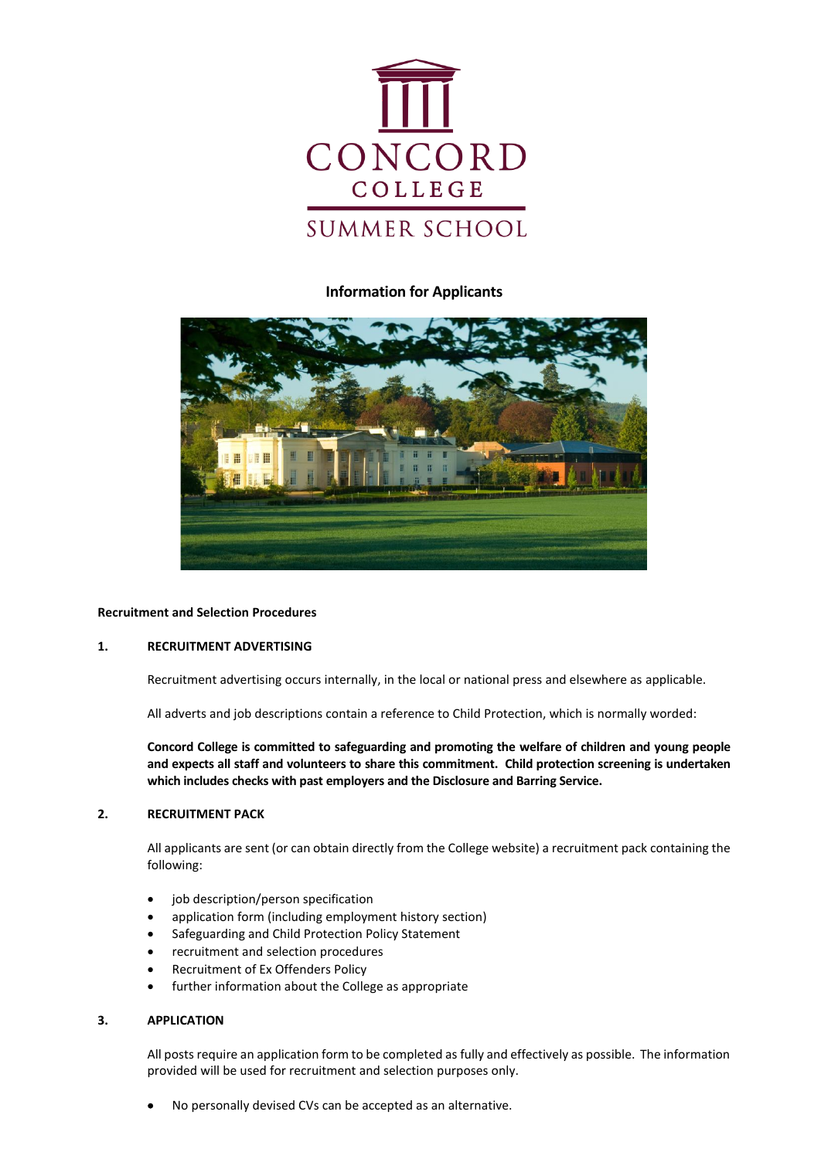

# **Information for Applicants**



## **Recruitment and Selection Procedures**

## **1. RECRUITMENT ADVERTISING**

Recruitment advertising occurs internally, in the local or national press and elsewhere as applicable.

All adverts and job descriptions contain a reference to Child Protection, which is normally worded:

**Concord College is committed to safeguarding and promoting the welfare of children and young people and expects all staff and volunteers to share this commitment. Child protection screening is undertaken which includes checks with past employers and the Disclosure and Barring Service.**

#### **2. RECRUITMENT PACK**

All applicants are sent (or can obtain directly from the College website) a recruitment pack containing the following:

- job description/person specification
- application form (including employment history section)
- Safeguarding and Child Protection Policy Statement
- recruitment and selection procedures
- Recruitment of Ex Offenders Policy
- further information about the College as appropriate

#### **3. APPLICATION**

All posts require an application form to be completed as fully and effectively as possible. The information provided will be used for recruitment and selection purposes only.

• No personally devised CVs can be accepted as an alternative.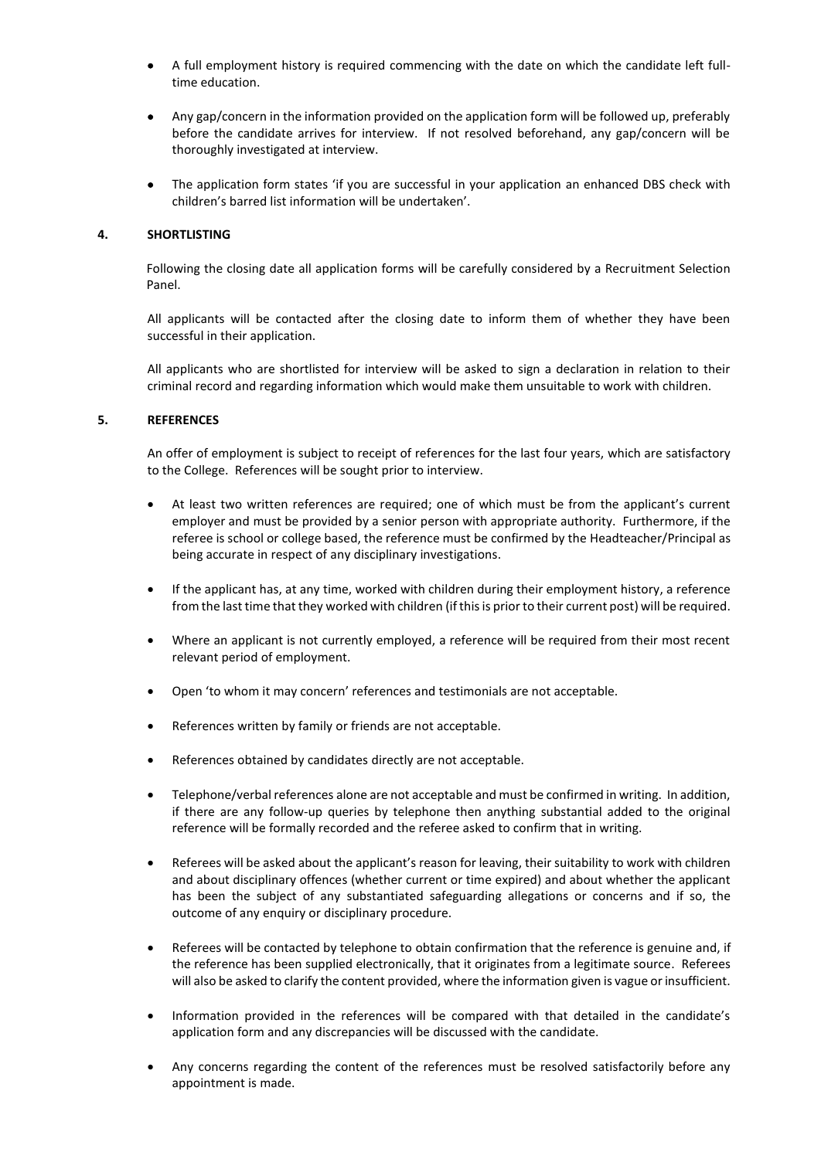- A full employment history is required commencing with the date on which the candidate left fulltime education.
- Any gap/concern in the information provided on the application form will be followed up, preferably before the candidate arrives for interview. If not resolved beforehand, any gap/concern will be thoroughly investigated at interview.
- The application form states 'if you are successful in your application an enhanced DBS check with children's barred list information will be undertaken'.

## **4. SHORTLISTING**

Following the closing date all application forms will be carefully considered by a Recruitment Selection Panel.

All applicants will be contacted after the closing date to inform them of whether they have been successful in their application.

All applicants who are shortlisted for interview will be asked to sign a declaration in relation to their criminal record and regarding information which would make them unsuitable to work with children.

## **5. REFERENCES**

An offer of employment is subject to receipt of references for the last four years, which are satisfactory to the College. References will be sought prior to interview.

- At least two written references are required; one of which must be from the applicant's current employer and must be provided by a senior person with appropriate authority. Furthermore, if the referee is school or college based, the reference must be confirmed by the Headteacher/Principal as being accurate in respect of any disciplinary investigations.
- If the applicant has, at any time, worked with children during their employment history, a reference from the last time that they worked with children (ifthis is prior to their current post) will be required.
- Where an applicant is not currently employed, a reference will be required from their most recent relevant period of employment.
- Open 'to whom it may concern' references and testimonials are not acceptable.
- References written by family or friends are not acceptable.
- References obtained by candidates directly are not acceptable.
- Telephone/verbal references alone are not acceptable and must be confirmed in writing. In addition, if there are any follow-up queries by telephone then anything substantial added to the original reference will be formally recorded and the referee asked to confirm that in writing.
- Referees will be asked about the applicant's reason for leaving, their suitability to work with children and about disciplinary offences (whether current or time expired) and about whether the applicant has been the subject of any substantiated safeguarding allegations or concerns and if so, the outcome of any enquiry or disciplinary procedure.
- Referees will be contacted by telephone to obtain confirmation that the reference is genuine and, if the reference has been supplied electronically, that it originates from a legitimate source. Referees will also be asked to clarify the content provided, where the information given is vague or insufficient.
- Information provided in the references will be compared with that detailed in the candidate's application form and any discrepancies will be discussed with the candidate.
- Any concerns regarding the content of the references must be resolved satisfactorily before any appointment is made.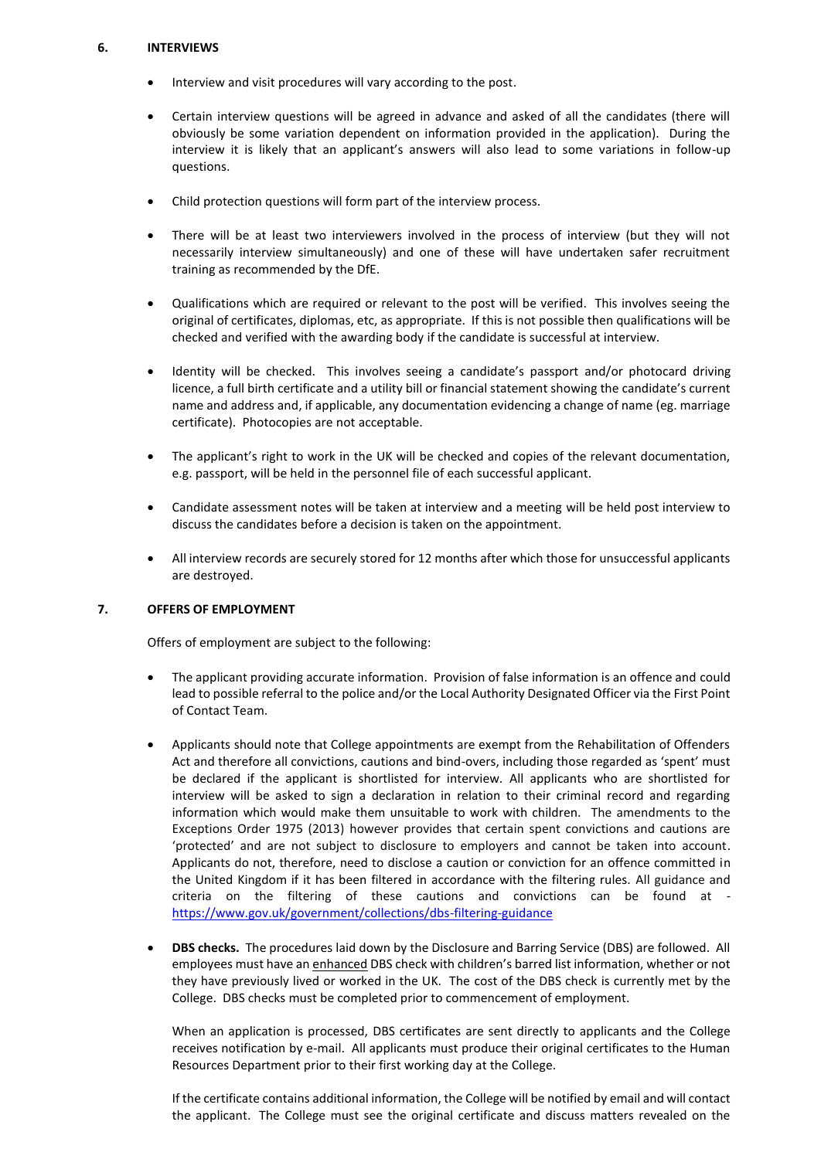## **6. INTERVIEWS**

- Interview and visit procedures will vary according to the post.
- Certain interview questions will be agreed in advance and asked of all the candidates (there will obviously be some variation dependent on information provided in the application). During the interview it is likely that an applicant's answers will also lead to some variations in follow-up questions.
- Child protection questions will form part of the interview process.
- There will be at least two interviewers involved in the process of interview (but they will not necessarily interview simultaneously) and one of these will have undertaken safer recruitment training as recommended by the DfE.
- Qualifications which are required or relevant to the post will be verified. This involves seeing the original of certificates, diplomas, etc, as appropriate. If this is not possible then qualifications will be checked and verified with the awarding body if the candidate is successful at interview.
- Identity will be checked. This involves seeing a candidate's passport and/or photocard driving licence, a full birth certificate and a utility bill or financial statement showing the candidate's current name and address and, if applicable, any documentation evidencing a change of name (eg. marriage certificate). Photocopies are not acceptable.
- The applicant's right to work in the UK will be checked and copies of the relevant documentation, e.g. passport, will be held in the personnel file of each successful applicant.
- Candidate assessment notes will be taken at interview and a meeting will be held post interview to discuss the candidates before a decision is taken on the appointment.
- All interview records are securely stored for 12 months after which those for unsuccessful applicants are destroyed.

## **7. OFFERS OF EMPLOYMENT**

Offers of employment are subject to the following:

- The applicant providing accurate information. Provision of false information is an offence and could lead to possible referral to the police and/or the Local Authority Designated Officer via the First Point of Contact Team.
- Applicants should note that College appointments are exempt from the Rehabilitation of Offenders Act and therefore all convictions, cautions and bind-overs, including those regarded as 'spent' must be declared if the applicant is shortlisted for interview. All applicants who are shortlisted for interview will be asked to sign a declaration in relation to their criminal record and regarding information which would make them unsuitable to work with children. The amendments to the Exceptions Order 1975 (2013) however provides that certain spent convictions and cautions are 'protected' and are not subject to disclosure to employers and cannot be taken into account. Applicants do not, therefore, need to disclose a caution or conviction for an offence committed in the United Kingdom if it has been filtered in accordance with the filtering rules. All guidance and criteria on the filtering of these cautions and convictions can be found at <https://www.gov.uk/government/collections/dbs-filtering-guidance>
- **DBS checks.** The procedures laid down by the Disclosure and Barring Service (DBS) are followed. All employees must have an enhanced DBS check with children's barred list information, whether or not they have previously lived or worked in the UK. The cost of the DBS check is currently met by the College. DBS checks must be completed prior to commencement of employment.

When an application is processed, DBS certificates are sent directly to applicants and the College receives notification by e-mail. All applicants must produce their original certificates to the Human Resources Department prior to their first working day at the College.

If the certificate contains additional information, the College will be notified by email and will contact the applicant. The College must see the original certificate and discuss matters revealed on the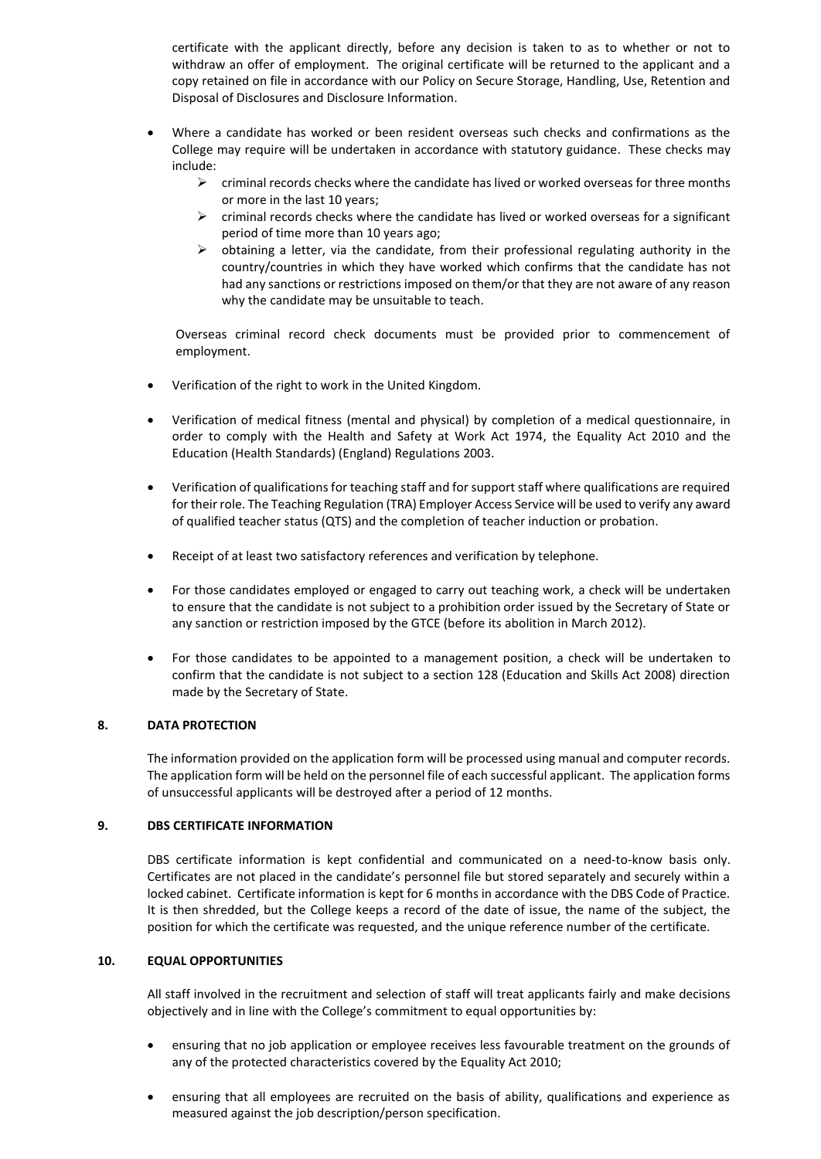certificate with the applicant directly, before any decision is taken to as to whether or not to withdraw an offer of employment. The original certificate will be returned to the applicant and a copy retained on file in accordance with our Policy on Secure Storage, Handling, Use, Retention and Disposal of Disclosures and Disclosure Information.

- Where a candidate has worked or been resident overseas such checks and confirmations as the College may require will be undertaken in accordance with statutory guidance. These checks may include:
	- $\triangleright$  criminal records checks where the candidate has lived or worked overseas for three months or more in the last 10 years;
	- ➢ criminal records checks where the candidate has lived or worked overseas for a significant period of time more than 10 years ago;
	- $\triangleright$  obtaining a letter, via the candidate, from their professional regulating authority in the country/countries in which they have worked which confirms that the candidate has not had any sanctions or restrictions imposed on them/or that they are not aware of any reason why the candidate may be unsuitable to teach.

Overseas criminal record check documents must be provided prior to commencement of employment.

- Verification of the right to work in the United Kingdom.
- Verification of medical fitness (mental and physical) by completion of a medical questionnaire, in order to comply with the Health and Safety at Work Act 1974, the Equality Act 2010 and the Education (Health Standards) (England) Regulations 2003.
- Verification of qualifications for teaching staff and for support staff where qualifications are required for their role. The Teaching Regulation (TRA) Employer Access Service will be used to verify any award of qualified teacher status (QTS) and the completion of teacher induction or probation.
- Receipt of at least two satisfactory references and verification by telephone.
- For those candidates employed or engaged to carry out teaching work, a check will be undertaken to ensure that the candidate is not subject to a prohibition order issued by the Secretary of State or any sanction or restriction imposed by the GTCE (before its abolition in March 2012).
- For those candidates to be appointed to a management position, a check will be undertaken to confirm that the candidate is not subject to a section 128 (Education and Skills Act 2008) direction made by the Secretary of State.

## **8. DATA PROTECTION**

The information provided on the application form will be processed using manual and computer records. The application form will be held on the personnel file of each successful applicant. The application forms of unsuccessful applicants will be destroyed after a period of 12 months.

## **9. DBS CERTIFICATE INFORMATION**

DBS certificate information is kept confidential and communicated on a need-to-know basis only. Certificates are not placed in the candidate's personnel file but stored separately and securely within a locked cabinet. Certificate information is kept for 6 months in accordance with the DBS Code of Practice. It is then shredded, but the College keeps a record of the date of issue, the name of the subject, the position for which the certificate was requested, and the unique reference number of the certificate.

## **10. EQUAL OPPORTUNITIES**

All staff involved in the recruitment and selection of staff will treat applicants fairly and make decisions objectively and in line with the College's commitment to equal opportunities by:

- ensuring that no job application or employee receives less favourable treatment on the grounds of any of the protected characteristics covered by the Equality Act 2010;
- ensuring that all employees are recruited on the basis of ability, qualifications and experience as measured against the job description/person specification.